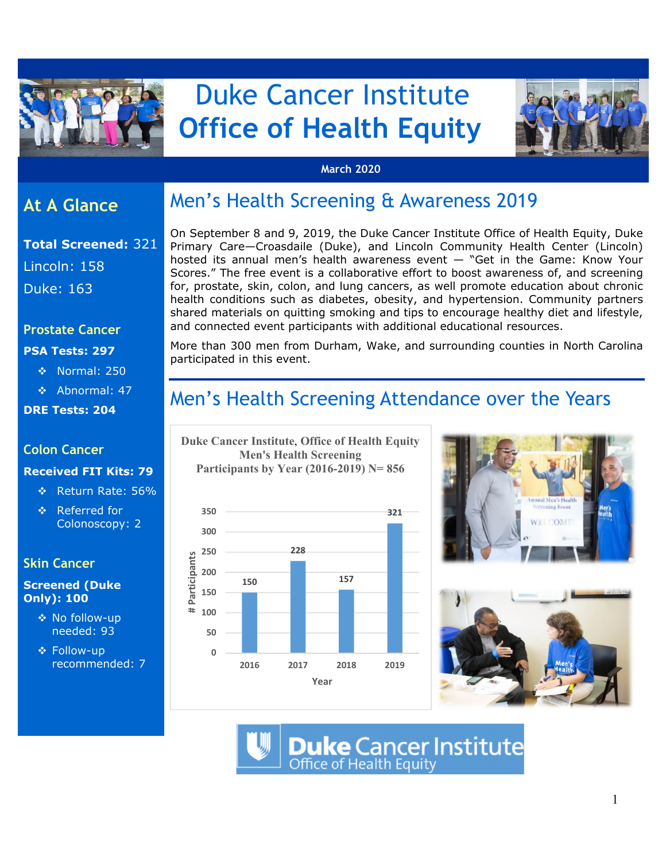

# Duke Cancer Institute  **Office of Health Equity**



#### **March 2020**

### **At A Glance**

**Total Screened:** 321 Lincoln: 158 Duke: 163

#### **Prostate Cancer**

#### **PSA Tests: 297**

- ◆ Normal: 250
- Abnormal: 47

**DRE Tests: 204** 

#### **Colon Cancer**

#### **Received FIT Kits: 79**

- Return Rate: 56%
- Referred for Colonoscopy: 2

### **Skin Cancer**

#### **Screened (Duke Only): 100**

- ◆ No follow-up needed: 93
- **❖ Follow-up** recommended: 7

## Men's Health Screening & Awareness 2019

On September 8 and 9, 2019, the Duke Cancer Institute Office of Health Equity, Duke Primary Care—Croasdaile (Duke), and Lincoln Community Health Center (Lincoln) hosted its annual men's health awareness event — "Get in the Game: Know Your Scores." The free event is a collaborative effort to boost awareness of, and screening for, prostate, skin, colon, and lung cancers, as well promote education about chronic health conditions such as diabetes, obesity, and hypertension. Community partners shared materials on quitting smoking and tips to encourage healthy diet and lifestyle, and connected event participants with additional educational resources.

More than 300 men from Durham, Wake, and surrounding counties in North Carolina participated in this event.

## Men's Health Screening Attendance over the Years

**Duke Cancer Institute, Office of Health Equity Men's Health Screening Participants by Year (2016-2019) N= 856** 







**Duke Cancer Institute**<br>Office of Health Equity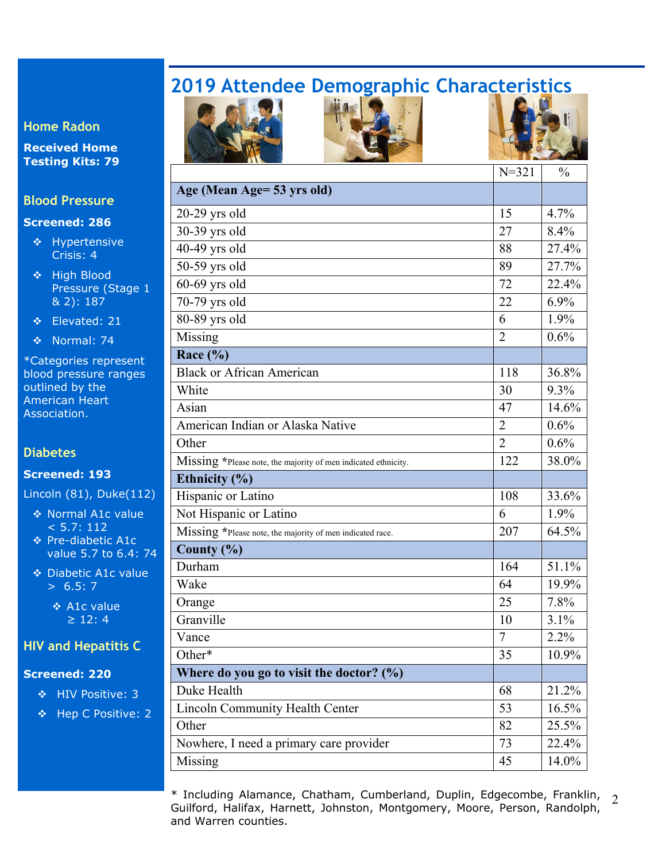# **2019 Attendee Demographic Characteristics**

**Home Radon** 

**Received Home Testing Kits: 79** 

#### **Blood Pressure**

#### **Screened: 286**

- $\div$  Hypertensive Crisis: 4
- ❖ High Blood Pressure (Stage 1 & 2): 187

Elevated: 21

Normal: 74

\*Categories represent blood pressure ranges outlined by the American Heart Association.

#### **Diabetes**

#### **Screened: 193**

Lincoln (81), Duke(112)

- ◆ Normal A1c value  $< 5.7: 112$
- ◆ Pre-diabetic A1c value 5.7 to 6.4: 74
- Diabetic A1c value  $> 6.5: 7$

**↑ A1c value**  $\geq$  12: 4

#### **HIV and Hepatitis C**

#### **Screened: 220**

- ◆ HIV Positive: 3
- Hep C Positive: 2







|                                                                | $N = 321$      | $\frac{0}{0}$ |
|----------------------------------------------------------------|----------------|---------------|
| Age (Mean Age= 53 yrs old)                                     |                |               |
| 20-29 yrs old                                                  | 15             | 4.7%          |
| 30-39 yrs old                                                  | 27             | 8.4%          |
| 40-49 yrs old                                                  | 88             | 27.4%         |
| 50-59 yrs old                                                  | 89             | 27.7%         |
| $60-69$ yrs old                                                | 72             | 22.4%         |
| 70-79 yrs old                                                  | 22             | $6.9\%$       |
| 80-89 yrs old                                                  | 6              | $1.9\%$       |
| Missing                                                        | $\overline{2}$ | 0.6%          |
| Race $(\% )$                                                   |                |               |
| <b>Black or African American</b>                               | 118            | 36.8%         |
| White                                                          | 30             | $9.3\%$       |
| Asian                                                          | 47             | 14.6%         |
| American Indian or Alaska Native                               | $\overline{2}$ | $0.6\%$       |
| Other                                                          | $\overline{2}$ | $0.6\%$       |
| Missing *Please note, the majority of men indicated ethnicity. | 122            | 38.0%         |
| Ethnicity (%)                                                  |                |               |
| Hispanic or Latino                                             | 108            | 33.6%         |
| Not Hispanic or Latino                                         | 6              | 1.9%          |
| Missing *Please note, the majority of men indicated race.      | 207            | 64.5%         |
| County $(\% )$                                                 |                |               |
| Durham                                                         | 164            | 51.1%         |
| Wake                                                           | 64             | 19.9%         |
| Orange                                                         | 25             | 7.8%          |
| Granville                                                      | 10             | 3.1%          |
| Vance                                                          | 7              | $2.2\%$       |
| Other*                                                         | 35             | 10.9%         |
| Where do you go to visit the doctor? $(\%)$                    |                |               |
| Duke Health                                                    | 68             | 21.2%         |
| <b>Lincoln Community Health Center</b>                         | 53             | 16.5%         |
| Other                                                          | 82             | 25.5%         |
| Nowhere, I need a primary care provider                        | 73             | 22.4%         |
| Missing                                                        | 45             | 14.0%         |
|                                                                |                |               |

\* Including Alamance, Chatham, Cumberland, Duplin, Edgecombe, Franklin,  $\frac{2}{3}$ Guilford, Halifax, Harnett, Johnston, Montgomery, Moore, Person, Randolph, and Warren counties.